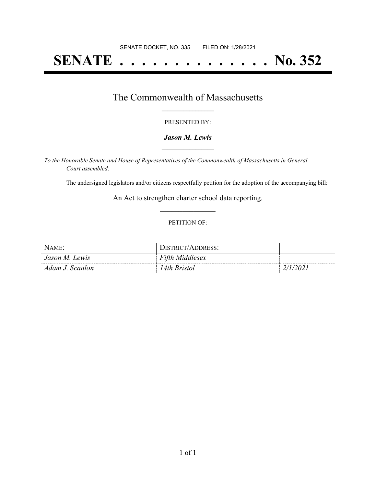# **SENATE . . . . . . . . . . . . . . No. 352**

## The Commonwealth of Massachusetts **\_\_\_\_\_\_\_\_\_\_\_\_\_\_\_\_\_**

#### PRESENTED BY:

#### *Jason M. Lewis* **\_\_\_\_\_\_\_\_\_\_\_\_\_\_\_\_\_**

*To the Honorable Senate and House of Representatives of the Commonwealth of Massachusetts in General Court assembled:*

The undersigned legislators and/or citizens respectfully petition for the adoption of the accompanying bill:

An Act to strengthen charter school data reporting. **\_\_\_\_\_\_\_\_\_\_\_\_\_\_\_**

#### PETITION OF:

| Name:           | <b>JISTRICT/ADDRESS:</b> |  |
|-----------------|--------------------------|--|
| Jason M. Lewis  | <b>Fifth Middlesex</b>   |  |
| Adam J. Scanlon | l 4th Bristol            |  |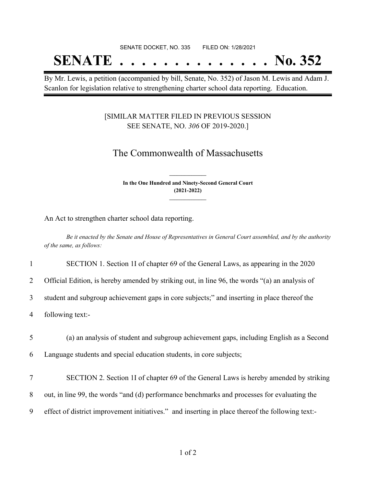## SENATE DOCKET, NO. 335 FILED ON: 1/28/2021 **SENATE . . . . . . . . . . . . . . No. 352**

By Mr. Lewis, a petition (accompanied by bill, Senate, No. 352) of Jason M. Lewis and Adam J. Scanlon for legislation relative to strengthening charter school data reporting. Education.

### [SIMILAR MATTER FILED IN PREVIOUS SESSION SEE SENATE, NO. *306* OF 2019-2020.]

## The Commonwealth of Massachusetts

**In the One Hundred and Ninety-Second General Court (2021-2022) \_\_\_\_\_\_\_\_\_\_\_\_\_\_\_**

**\_\_\_\_\_\_\_\_\_\_\_\_\_\_\_**

An Act to strengthen charter school data reporting.

Be it enacted by the Senate and House of Representatives in General Court assembled, and by the authority *of the same, as follows:*

1 SECTION 1. Section 1I of chapter 69 of the General Laws, as appearing in the 2020

2 Official Edition, is hereby amended by striking out, in line 96, the words "(a) an analysis of

3 student and subgroup achievement gaps in core subjects;" and inserting in place thereof the

4 following text:-

5 (a) an analysis of student and subgroup achievement gaps, including English as a Second

6 Language students and special education students, in core subjects;

- 7 SECTION 2. Section 1I of chapter 69 of the General Laws is hereby amended by striking
- 8 out, in line 99, the words "and (d) performance benchmarks and processes for evaluating the
- 9 effect of district improvement initiatives." and inserting in place thereof the following text:-